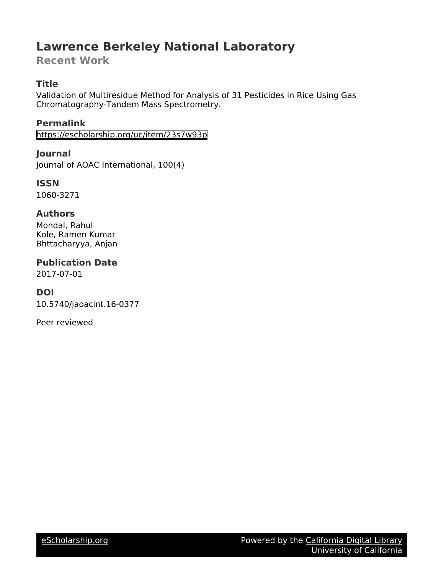# **Lawrence Berkeley National Laboratory**

**Recent Work**

### **Title**

Validation of Multiresidue Method for Analysis of 31 Pesticides in Rice Using Gas Chromatography-Tandem Mass Spectrometry.

**Permalink** <https://escholarship.org/uc/item/23s7w93p>

**Journal** Journal of AOAC International, 100(4)

**ISSN** 1060-3271

#### **Authors**

Mondal, Rahul Kole, Ramen Kumar Bhttacharyya, Anjan

**Publication Date**

2017-07-01

#### **DOI**

10.5740/jaoacint.16-0377

Peer reviewed